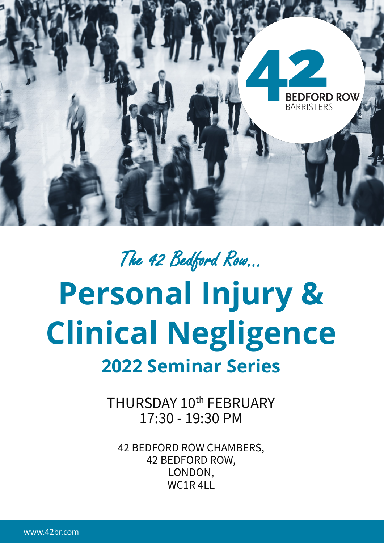

# The 42 Bedford Row... **Personal Injury & Clinical Negligence 2022 Seminar Series**

THURSDAY 10<sup>th</sup> FEBRUARY 17:30 - 19:30 PM

42 BEDFORD ROW CHAMBERS, 42 BEDFORD ROW, LONDON, WC<sub>1</sub>R<sub>4LL</sub>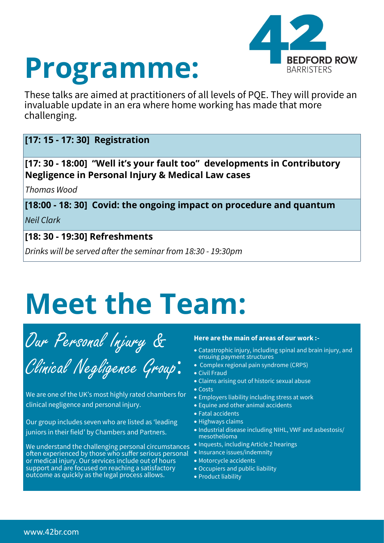



These talks are aimed at practitioners of all levels of PQE. They will provide an invaluable update in an era where home working has made that more challenging.

### **[17: 15 - 17: 30] Registration**

**[17: 30 - 18:00] "Well it's your fault too" developments in Contributory Negligence in Personal Injury & Medical Law cases** 

*Thomas Wood* 

**[18:00 - 18: 30] Covid: the ongoing impact on procedure and quantum** *Neil Clark* 

**[18: 30 - 19:30] Refreshments** 

*Drinks will be served after the seminar from 18:30 - 19:30pm* 

## **Meet the Team:**

Our Personal Injury &

Clinical Negligence Group:

We are one of the UK's most highly rated chambers for clinical negligence and personal injury.

Our group includes seven who are listed as 'leading juniors in their field' by Chambers and Partners.

We understand the challenging personal circumstances often experienced by those who suffer serious personal or medical injury. Our services include out of hours support and are focused on reaching a satisfactory outcome as quickly as the legal process allows.

#### **Here are the main of areas of our work :-**

- Catastrophic injury, including spinal and brain injury, and ensuing payment structures
- Complex regional pain syndrome (CRPS)
- Civil Fraud
- Claims arising out of historic sexual abuse
- Costs
- Employers liability including stress at work
- Equine and other animal accidents
- Fatal accidents
- Highways claims
- Industrial disease including NIHL, VWF and asbestosis/ mesothelioma
- Inquests, including Article 2 hearings
- Insurance issues/indemnity
- Motorcycle accidents
- Occupiers and public liability
- Product liability